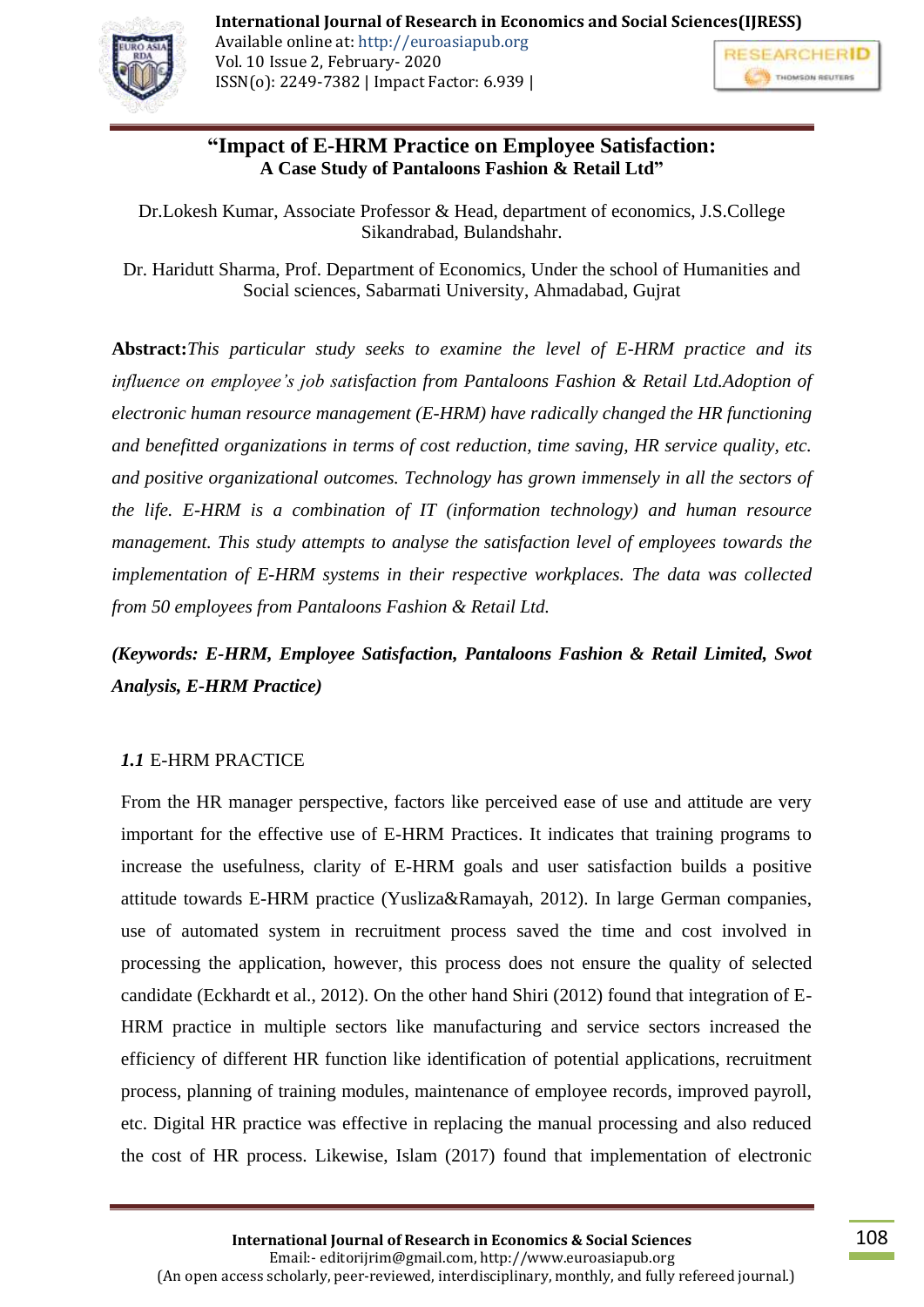**"Impact of E-HRM Practice on Employee Satisfaction:**

**A Case Study of Pantaloons Fashion & Retail Ltd"**

Dr.Lokesh Kumar, Associate Professor & Head, department of economics, J.S.College Sikandrabad, Bulandshahr.

Dr. Haridutt Sharma, Prof. Department of Economics, Under the school of Humanities and Social sciences, Sabarmati University, Ahmadabad, Gujrat

**Abstract:***This particular study seeks to examine the level of E-HRM practice and its influence on employee's job satisfaction from Pantaloons Fashion & Retail Ltd.Adoption of electronic human resource management (E-HRM) have radically changed the HR functioning and benefitted organizations in terms of cost reduction, time saving, HR service quality, etc. and positive organizational outcomes. Technology has grown immensely in all the sectors of the life. E-HRM is a combination of IT (information technology) and human resource management. This study attempts to analyse the satisfaction level of employees towards the implementation of E-HRM systems in their respective workplaces. The data was collected from 50 employees from Pantaloons Fashion & Retail Ltd.*

*(Keywords: E-HRM, Employee Satisfaction, Pantaloons Fashion & Retail Limited, Swot Analysis, E-HRM Practice)*

# *1.1* E-HRM PRACTICE

From the HR manager perspective, factors like perceived ease of use and attitude are very important for the effective use of E-HRM Practices. It indicates that training programs to increase the usefulness, clarity of E-HRM goals and user satisfaction builds a positive attitude towards E-HRM practice (Yusliza&Ramayah, 2012). In large German companies, use of automated system in recruitment process saved the time and cost involved in processing the application, however, this process does not ensure the quality of selected candidate (Eckhardt et al., 2012). On the other hand Shiri (2012) found that integration of E-HRM practice in multiple sectors like manufacturing and service sectors increased the efficiency of different HR function like identification of potential applications, recruitment process, planning of training modules, maintenance of employee records, improved payroll, etc. Digital HR practice was effective in replacing the manual processing and also reduced the cost of HR process. Likewise, Islam (2017) found that implementation of electronic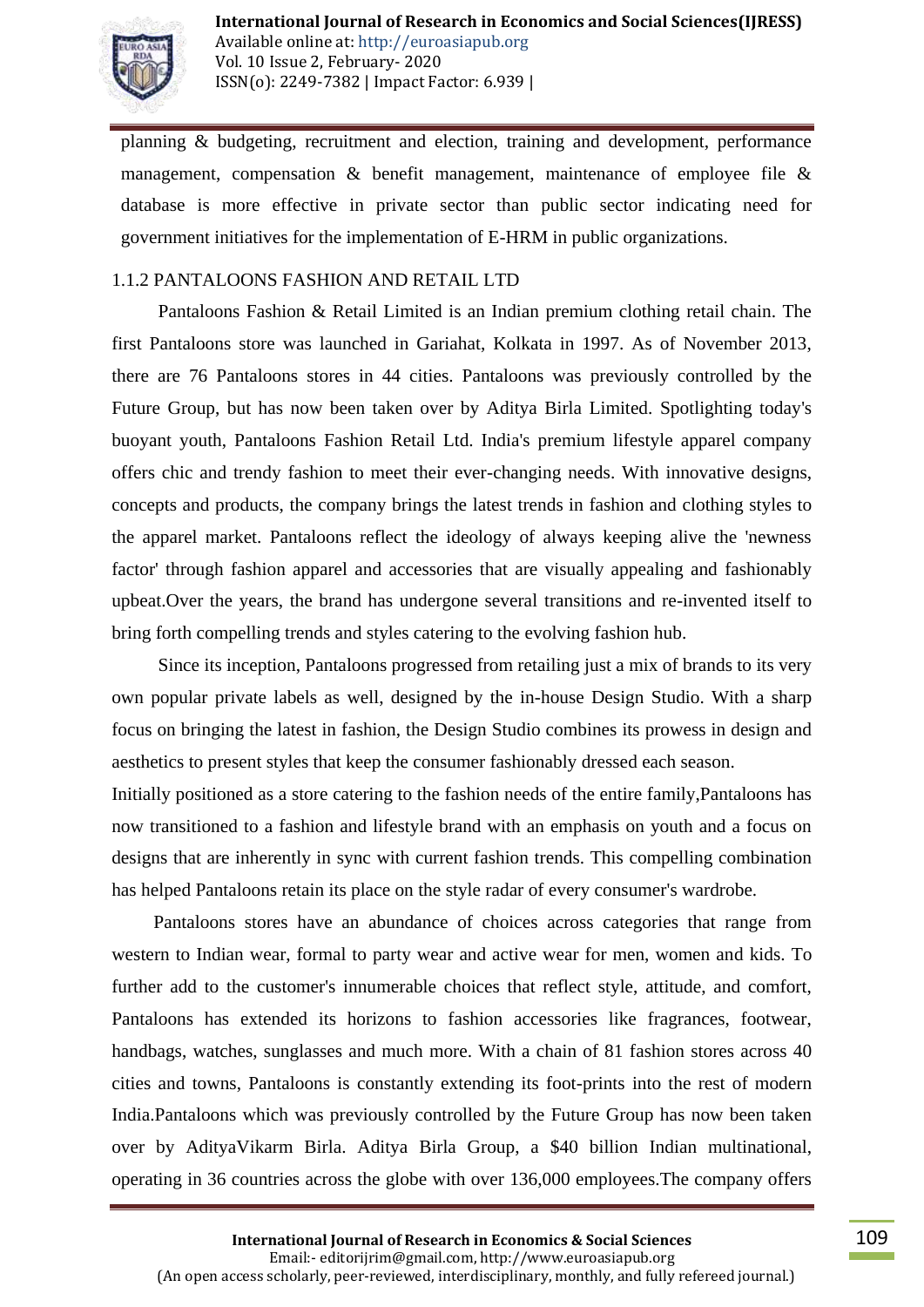

planning & budgeting, recruitment and election, training and development, performance management, compensation  $\&$  benefit management, maintenance of employee file  $\&$ database is more effective in private sector than public sector indicating need for government initiatives for the implementation of E-HRM in public organizations.

#### 1.1.2 PANTALOONS FASHION AND RETAIL LTD

 Pantaloons Fashion & Retail Limited is an Indian premium clothing retail chain. The first Pantaloons store was launched in Gariahat, Kolkata in 1997. As of November 2013, there are 76 Pantaloons stores in 44 cities. Pantaloons was previously controlled by the Future Group, but has now been taken over by Aditya Birla Limited. Spotlighting today's buoyant youth, Pantaloons Fashion Retail Ltd. India's premium lifestyle apparel company offers chic and trendy fashion to meet their ever-changing needs. With innovative designs, concepts and products, the company brings the latest trends in fashion and clothing styles to the apparel market. Pantaloons reflect the ideology of always keeping alive the 'newness factor' through fashion apparel and accessories that are visually appealing and fashionably upbeat.Over the years, the brand has undergone several transitions and re-invented itself to bring forth compelling trends and styles catering to the evolving fashion hub.

 Since its inception, Pantaloons progressed from retailing just a mix of brands to its very own popular private labels as well, designed by the in-house Design Studio. With a sharp focus on bringing the latest in fashion, the Design Studio combines its prowess in design and aesthetics to present styles that keep the consumer fashionably dressed each season.

Initially positioned as a store catering to the fashion needs of the entire family,Pantaloons has now transitioned to a fashion and lifestyle brand with an emphasis on youth and a focus on designs that are inherently in sync with current fashion trends. This compelling combination has helped Pantaloons retain its place on the style radar of every consumer's wardrobe.

 Pantaloons stores have an abundance of choices across categories that range from western to Indian wear, formal to party wear and active wear for men, women and kids. To further add to the customer's innumerable choices that reflect style, attitude, and comfort, Pantaloons has extended its horizons to fashion accessories like fragrances, footwear, handbags, watches, sunglasses and much more. With a chain of 81 fashion stores across 40 cities and towns, Pantaloons is constantly extending its foot-prints into the rest of modern India.Pantaloons which was previously controlled by the Future Group has now been taken over by AdityaVikarm Birla. Aditya Birla Group, a \$40 billion Indian multinational, operating in 36 countries across the globe with over 136,000 employees.The company offers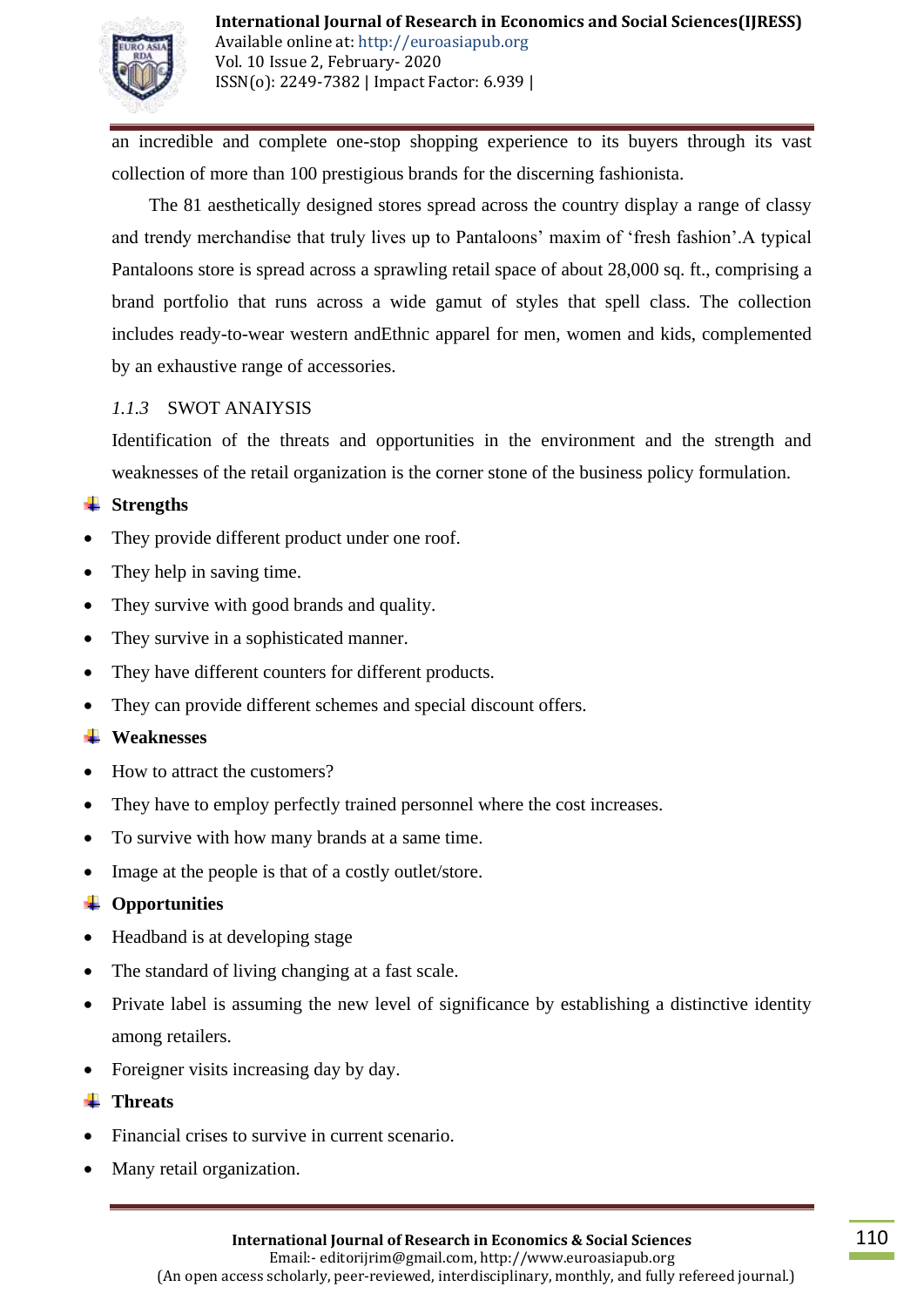

an incredible and complete one-stop shopping experience to its buyers through its vast collection of more than 100 prestigious brands for the discerning fashionista.

 The 81 aesthetically designed stores spread across the country display a range of classy and trendy merchandise that truly lives up to Pantaloons" maxim of "fresh fashion".A typical Pantaloons store is spread across a sprawling retail space of about 28,000 sq. ft., comprising a brand portfolio that runs across a wide gamut of styles that spell class. The collection includes ready-to-wear western andEthnic apparel for men, women and kids, complemented by an exhaustive range of accessories.

## *1.1.3* SWOT ANAIYSIS

Identification of the threats and opportunities in the environment and the strength and weaknesses of the retail organization is the corner stone of the business policy formulation.

#### **↓** Strengths

- They provide different product under one roof.
- They help in saving time.
- They survive with good brands and quality.
- They survive in a sophisticated manner.
- They have different counters for different products.
- They can provide different schemes and special discount offers.

#### **Weaknesses**

- How to attract the customers?
- They have to employ perfectly trained personnel where the cost increases.
- To survive with how many brands at a same time.
- Image at the people is that of a costly outlet/store.

#### **Opportunities**

- Headband is at developing stage
- The standard of living changing at a fast scale.
- Private label is assuming the new level of significance by establishing a distinctive identity among retailers.
- Foreigner visits increasing day by day.

#### **<del>↓</del>** Threats

- Financial crises to survive in current scenario.
- Many retail organization.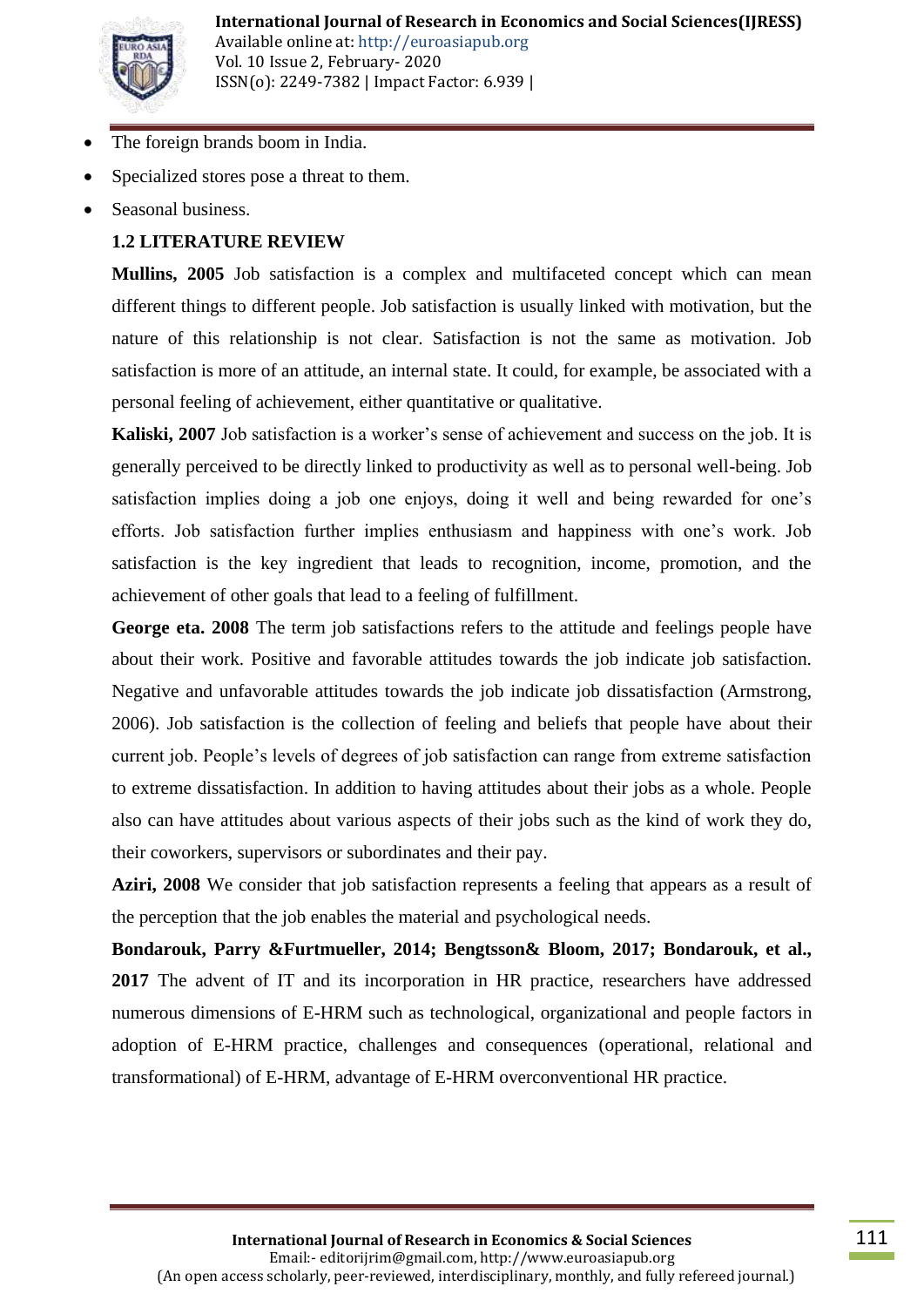

- The foreign brands boom in India.
- Specialized stores pose a threat to them.
- Seasonal business.

# **1.2 LITERATURE REVIEW**

**Mullins, 2005** Job satisfaction is a complex and multifaceted concept which can mean different things to different people. Job satisfaction is usually linked with motivation, but the nature of this relationship is not clear. Satisfaction is not the same as motivation. Job satisfaction is more of an attitude, an internal state. It could, for example, be associated with a personal feeling of achievement, either quantitative or qualitative.

**Kaliski, 2007** Job satisfaction is a worker's sense of achievement and success on the job. It is generally perceived to be directly linked to productivity as well as to personal well-being. Job satisfaction implies doing a job one enjoys, doing it well and being rewarded for one's efforts. Job satisfaction further implies enthusiasm and happiness with one"s work. Job satisfaction is the key ingredient that leads to recognition, income, promotion, and the achievement of other goals that lead to a feeling of fulfillment.

**George eta. 2008** The term job satisfactions refers to the attitude and feelings people have about their work. Positive and favorable attitudes towards the job indicate job satisfaction. Negative and unfavorable attitudes towards the job indicate job dissatisfaction (Armstrong, 2006). Job satisfaction is the collection of feeling and beliefs that people have about their current job. People"s levels of degrees of job satisfaction can range from extreme satisfaction to extreme dissatisfaction. In addition to having attitudes about their jobs as a whole. People also can have attitudes about various aspects of their jobs such as the kind of work they do, their coworkers, supervisors or subordinates and their pay.

**Aziri, 2008** We consider that job satisfaction represents a feeling that appears as a result of the perception that the job enables the material and psychological needs.

**Bondarouk, Parry &Furtmueller, 2014; Bengtsson& Bloom, 2017; Bondarouk, et al., 2017** The advent of IT and its incorporation in HR practice, researchers have addressed numerous dimensions of E-HRM such as technological, organizational and people factors in adoption of E-HRM practice, challenges and consequences (operational, relational and transformational) of E-HRM, advantage of E-HRM overconventional HR practice.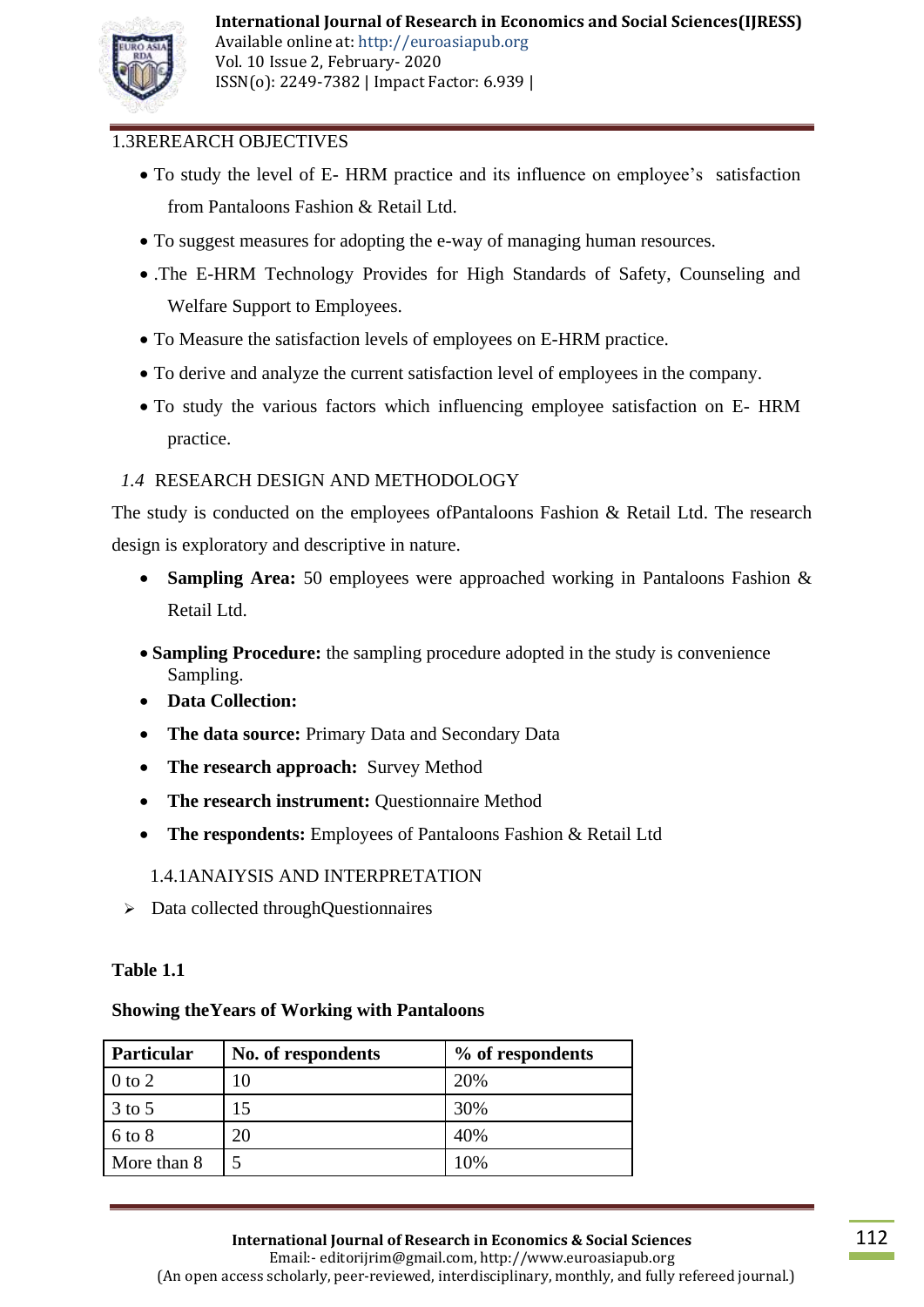

# 1.3REREARCH OBJECTIVES

- To study the level of E- HRM practice and its influence on employee's satisfaction from Pantaloons Fashion & Retail Ltd.
- To suggest measures for adopting the e-way of managing human resources.
- .The E-HRM Technology Provides for High Standards of Safety, Counseling and Welfare Support to Employees.
- To Measure the satisfaction levels of employees on E-HRM practice.
- To derive and analyze the current satisfaction level of employees in the company.
- To study the various factors which influencing employee satisfaction on E- HRM practice.

# *1.4* RESEARCH DESIGN AND METHODOLOGY

The study is conducted on the employees ofPantaloons Fashion & Retail Ltd. The research design is exploratory and descriptive in nature.

- **Sampling Area:** 50 employees were approached working in Pantaloons Fashion & Retail Ltd.
- **Sampling Procedure:** the sampling procedure adopted in the study is convenience Sampling.
- **Data Collection:**
- **The data source:** Primary Data and Secondary Data
- The research approach: Survey Method
- The research instrument: Questionnaire Method
- **The respondents:** Employees of Pantaloons Fashion & Retail Ltd

1.4.1ANAIYSIS AND INTERPRETATION

 $\triangleright$  Data collected throughQuestionnaires

#### **Table 1.1**

#### **Showing theYears of Working with Pantaloons**

| <b>Particular</b> | No. of respondents | % of respondents |
|-------------------|--------------------|------------------|
| $0$ to $2$        | 10                 | 20%              |
| $3$ to 5          | 15                 | 30%              |
| $6$ to $8$        | 20                 | 40%              |
| More than 8       | 5                  | 10%              |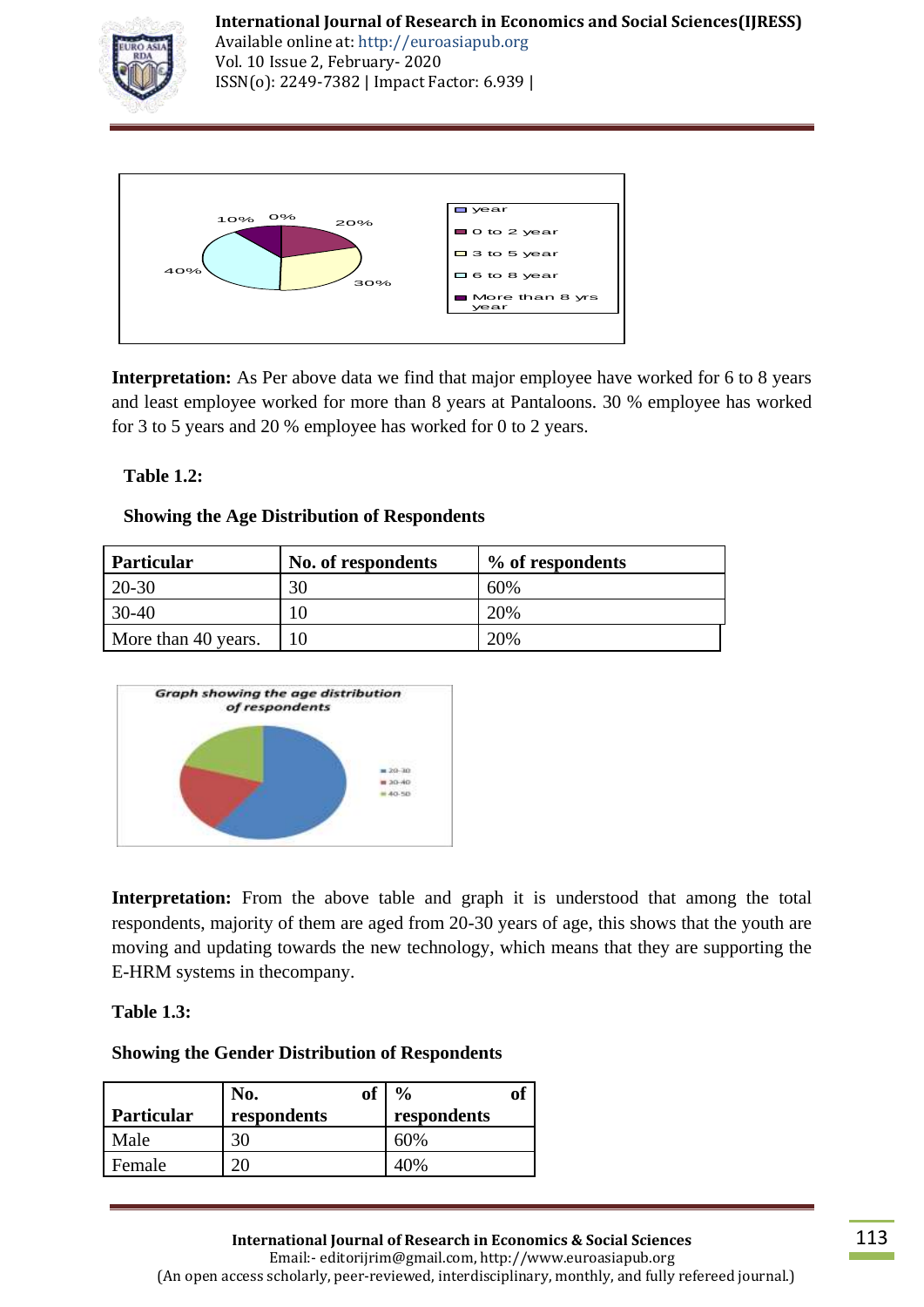

Available online at: http://euroasiapub.org Vol. 10 Issue 2, February- 2020 ISSN(o): 2249-7382 | Impact Factor: 6.939 |



**Interpretation:** As Per above data we find that major employee have worked for 6 to 8 years and least employee worked for more than 8 years at Pantaloons. 30 % employee has worked for 3 to 5 years and 20 % employee has worked for 0 to 2 years.

# **Table 1.2:**

## **Showing the Age Distribution of Respondents**

| <b>Particular</b>   | No. of respondents | % of respondents |
|---------------------|--------------------|------------------|
| 20-30               | 30                 | 60%              |
| 30-40               |                    | 20%              |
| More than 40 years. |                    | 20%              |



**Interpretation:** From the above table and graph it is understood that among the total respondents, majority of them are aged from 20-30 years of age, this shows that the youth are moving and updating towards the new technology, which means that they are supporting the E-HRM systems in thecompany.

#### **Table 1.3:**

#### **Showing the Gender Distribution of Respondents**

|                   | No.         | of | $\frac{0}{0}$ | OI |
|-------------------|-------------|----|---------------|----|
| <b>Particular</b> | respondents |    | respondents   |    |
| Male              | 30          |    | 60%           |    |
| Female            |             |    | 40%           |    |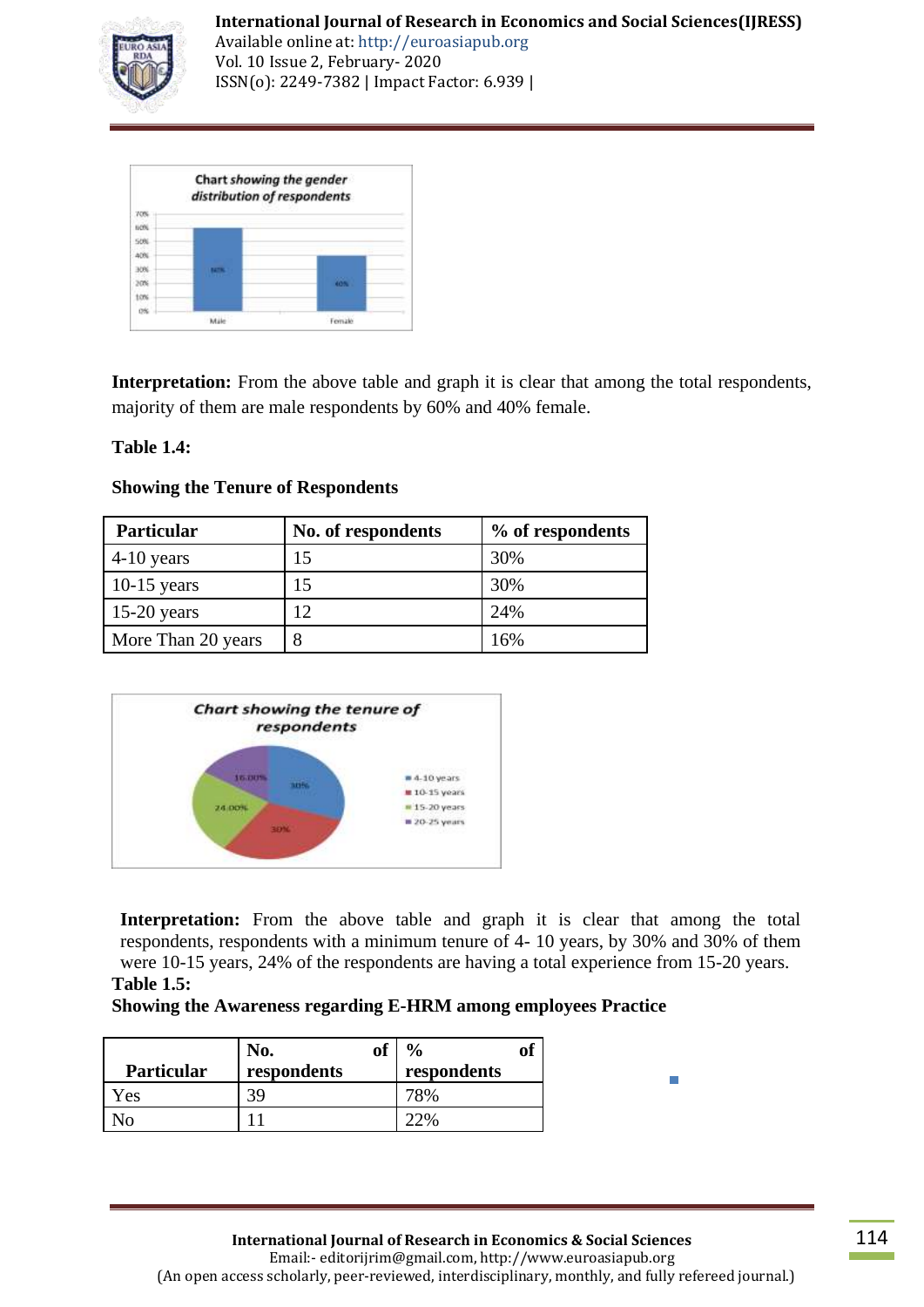

Available online at: http://euroasiapub.org Vol. 10 Issue 2, February- 2020 ISSN(o): 2249-7382 | Impact Factor: 6.939 |

|                                 | Chart showing the gender<br>distribution of respondents |     |
|---------------------------------|---------------------------------------------------------|-----|
| 70%<br>60%<br>50%               |                                                         |     |
| 40%<br>3ON<br><b>MTN</b><br>tow |                                                         | 40% |
|                                 |                                                         |     |

**Interpretation:** From the above table and graph it is clear that among the total respondents, majority of them are male respondents by 60% and 40% female.

# **Table 1.4:**

| <b>Particular</b>  | No. of respondents | % of respondents |
|--------------------|--------------------|------------------|
| $4-10$ years       |                    | 30%              |
| $10-15$ years      |                    | 30%              |
| $15-20$ years      |                    | 24%              |
| More Than 20 years | 8                  | 16%              |

## **Showing the Tenure of Respondents**



**Interpretation:** From the above table and graph it is clear that among the total respondents, respondents with a minimum tenure of 4- 10 years, by 30% and 30% of them were 10-15 years, 24% of the respondents are having a total experience from 15-20 years. **Table 1.5:**

#### **Showing the Awareness regarding E-HRM among employees Practice**

|                   | N0.         | . p<br>IJГ |             | of |
|-------------------|-------------|------------|-------------|----|
| <b>Particular</b> | respondents |            | respondents |    |
| Y es              |             |            |             |    |
|                   |             |            |             |    |

 $\overline{\phantom{a}}$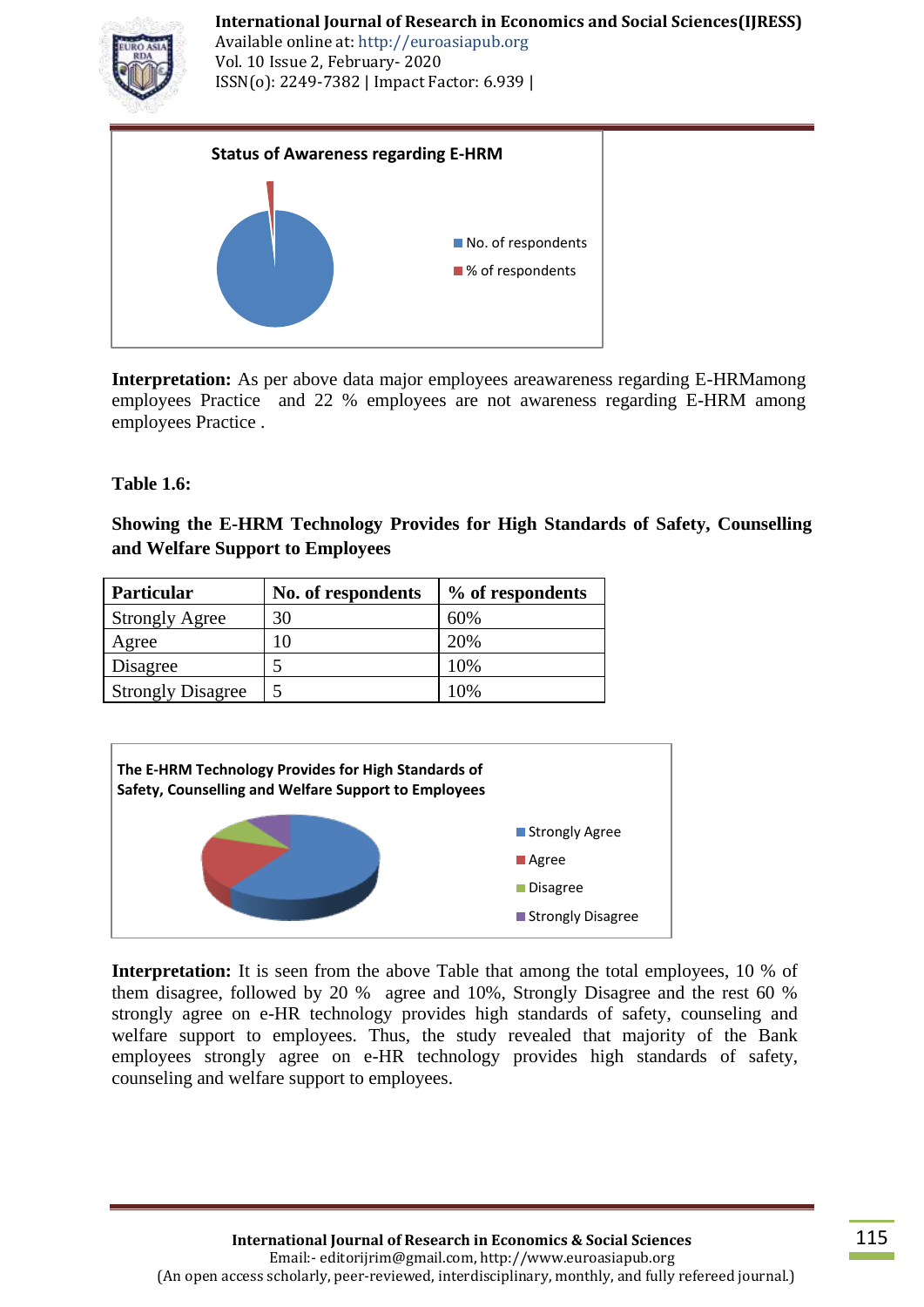Available online at: http://euroasiapub.org Vol. 10 Issue 2, February- 2020 ISSN(o): 2249-7382 | Impact Factor: 6.939 |



**Interpretation:** As per above data major employees areawareness regarding E-HRMamong employees Practice and 22 % employees are not awareness regarding E-HRM among employees Practice .

## **Table 1.6:**

**Showing the E-HRM Technology Provides for High Standards of Safety, Counselling and Welfare Support to Employees**

| Particular               | No. of respondents | % of respondents |
|--------------------------|--------------------|------------------|
| <b>Strongly Agree</b>    | 30                 | 60%              |
| Agree                    | 10                 | 20%              |
| Disagree                 |                    | 10%              |
| <b>Strongly Disagree</b> |                    | 10%              |



**Interpretation:** It is seen from the above Table that among the total employees, 10 % of them disagree, followed by 20 % agree and 10%, Strongly Disagree and the rest 60 % strongly agree on e-HR technology provides high standards of safety, counseling and welfare support to employees. Thus, the study revealed that majority of the Bank employees strongly agree on e-HR technology provides high standards of safety, counseling and welfare support to employees.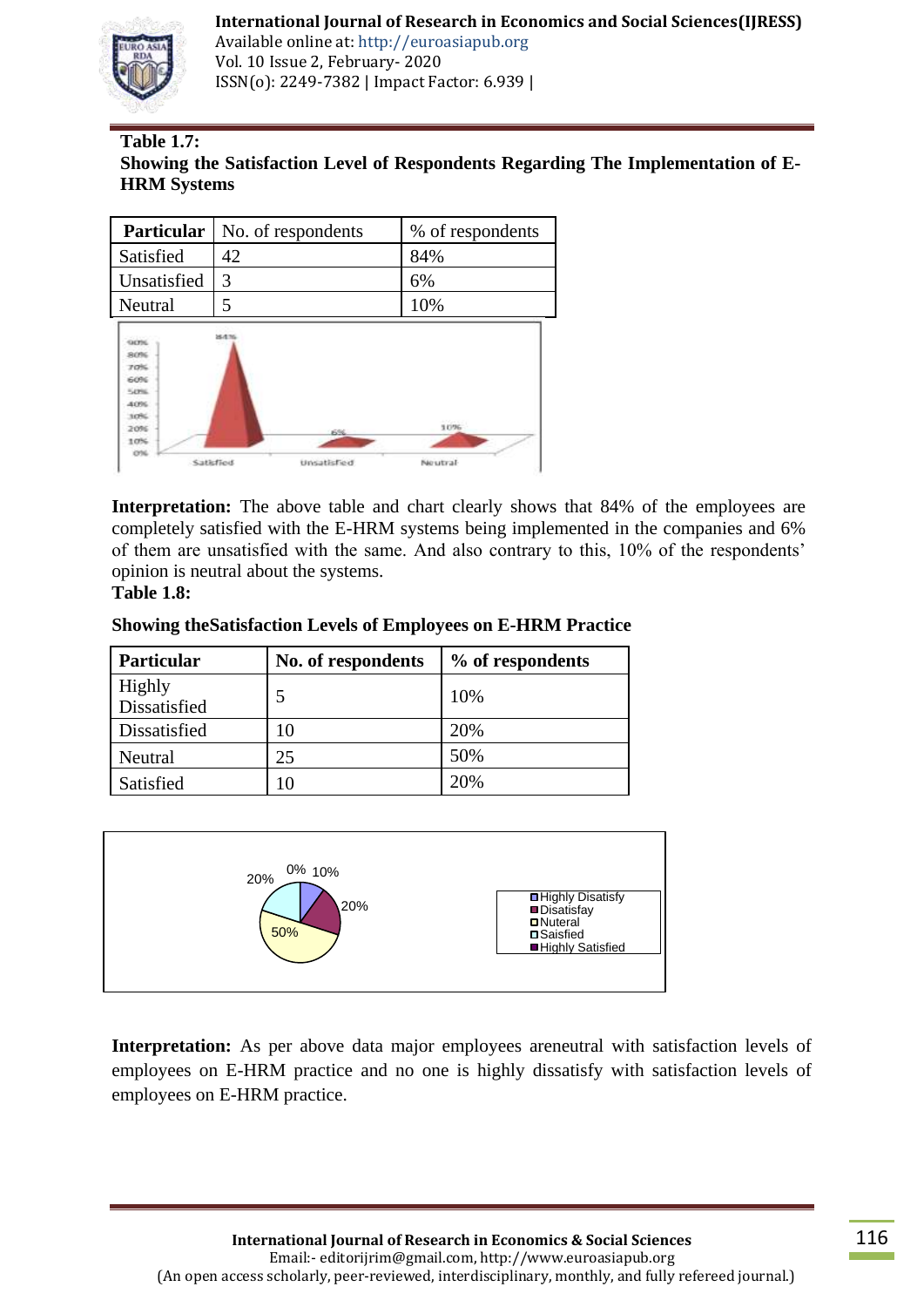

Available online at: http://euroasiapub.org Vol. 10 Issue 2, February- 2020 ISSN(o): 2249-7382 | Impact Factor: 6.939 |

# **Table 1.7:**

## **Showing the Satisfaction Level of Respondents Regarding The Implementation of E-HRM Systems**

| <b>Particular</b>                                                                                | No. of respondents       | % of respondents |
|--------------------------------------------------------------------------------------------------|--------------------------|------------------|
| Satisfied                                                                                        | 42                       | 84%              |
| Unsatisfied                                                                                      | 3                        | 6%               |
| Neutral                                                                                          | 5                        | 10%              |
| <b>GON</b><br>80%<br>70%<br>60%<br><b>KAYNE</b><br>40%<br>10%<br>20%<br>10%<br>CF16<br>Satisfied | 843<br>6%<br>Unsatisfied | 1096<br>Neutral  |

**Interpretation:** The above table and chart clearly shows that 84% of the employees are completely satisfied with the E-HRM systems being implemented in the companies and 6% of them are unsatisfied with the same. And also contrary to this, 10% of the respondents" opinion is neutral about the systems.

#### **Table 1.8:**

#### **Showing theSatisfaction Levels of Employees on E-HRM Practice**

| <b>Particular</b>      | No. of respondents | % of respondents |
|------------------------|--------------------|------------------|
| Highly<br>Dissatisfied | 5                  | 10%              |
| Dissatisfied           | 10                 | 20%              |
| Neutral                | 25                 | 50%              |
| Satisfied              |                    | 20%              |



Interpretation: As per above data major employees areneutral with satisfaction levels of employees on E-HRM practice and no one is highly dissatisfy with satisfaction levels of employees on E-HRM practice.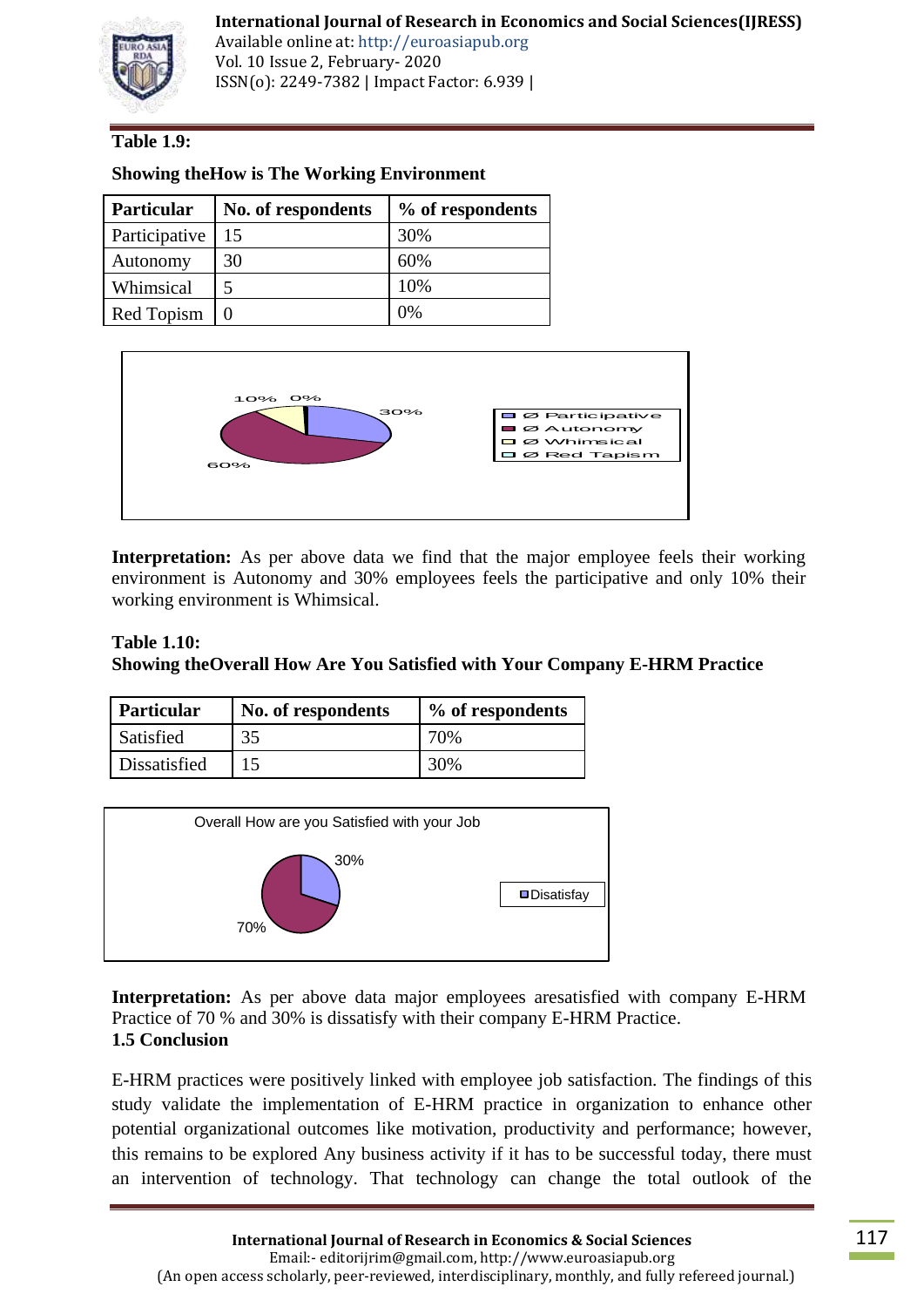

Available online at: http://euroasiapub.org Vol. 10 Issue 2, February- 2020 ISSN(o): 2249-7382 | Impact Factor: 6.939 |

## **Table 1.9:**

| Particular    | No. of respondents | % of respondents |
|---------------|--------------------|------------------|
| Participative | 15                 | 30%              |
| Autonomy      | 30                 | 60%              |
| Whimsical     | 5                  | 10%              |
| Red Topism    |                    | 0%               |

**Showing theHow is The Working Environment**



**Interpretation:** As per above data we find that the major employee feels their working environment is Autonomy and 30% employees feels the participative and only 10% their working environment is Whimsical.

## **Table 1.10: Showing theOverall How Are You Satisfied with Your Company E-HRM Practice**

| Particular   | No. of respondents | % of respondents |
|--------------|--------------------|------------------|
| Satisfied    | 35                 | 70%              |
| Dissatisfied |                    | 30%              |



**Interpretation:** As per above data major employees aresatisfied with company E-HRM Practice of 70 % and 30% is dissatisfy with their company E-HRM Practice. **1.5 Conclusion**

E-HRM practices were positively linked with employee job satisfaction. The findings of this study validate the implementation of E-HRM practice in organization to enhance other potential organizational outcomes like motivation, productivity and performance; however, this remains to be explored Any business activity if it has to be successful today, there must an intervention of technology. That technology can change the total outlook of the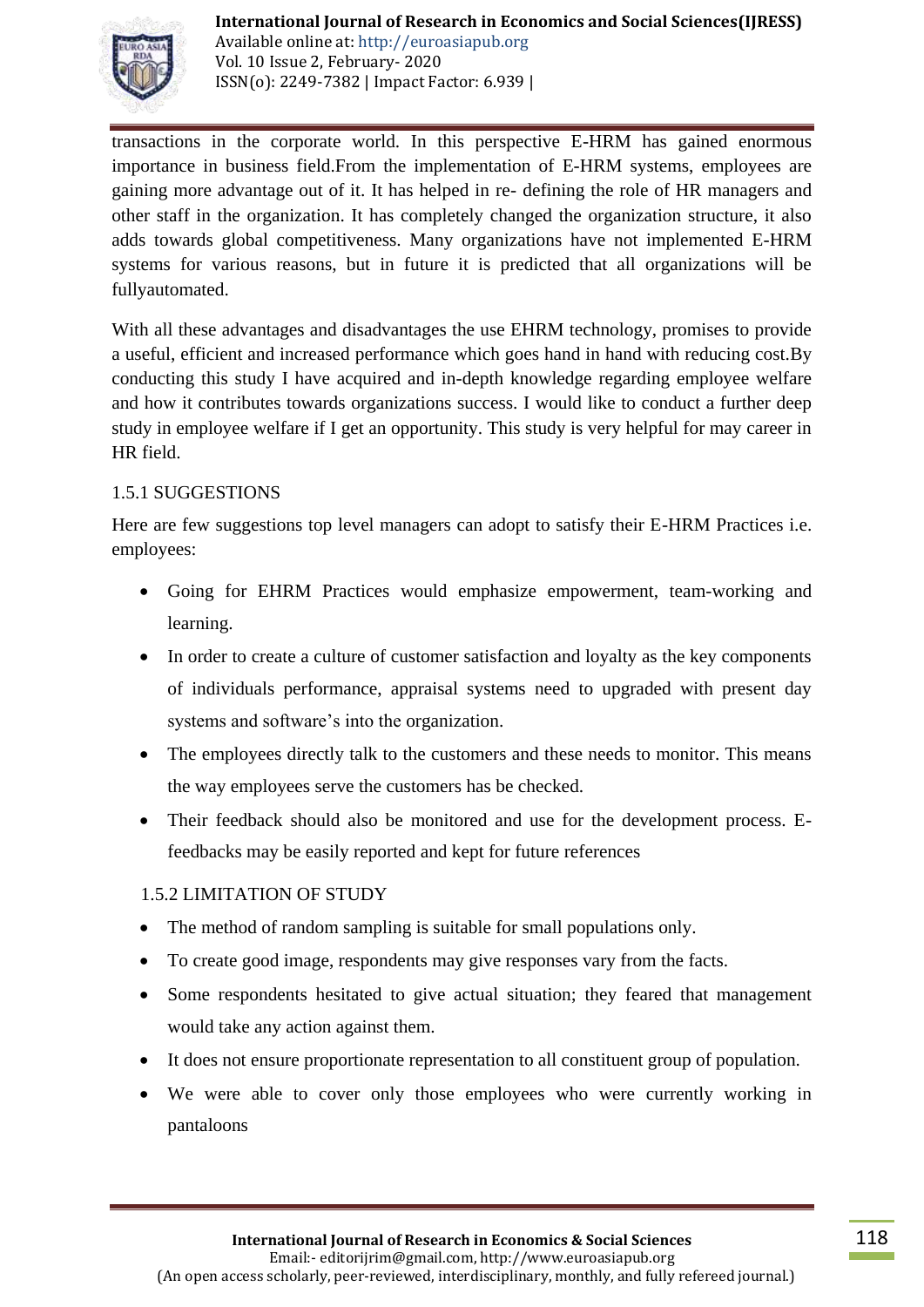

Available online at: http://euroasiapub.org Vol. 10 Issue 2, February- 2020 ISSN(o): 2249-7382 | Impact Factor: 6.939 |

transactions in the corporate world. In this perspective E-HRM has gained enormous importance in business field.From the implementation of E-HRM systems, employees are gaining more advantage out of it. It has helped in re- defining the role of HR managers and other staff in the organization. It has completely changed the organization structure, it also adds towards global competitiveness. Many organizations have not implemented E-HRM systems for various reasons, but in future it is predicted that all organizations will be fullyautomated.

With all these advantages and disadvantages the use EHRM technology, promises to provide a useful, efficient and increased performance which goes hand in hand with reducing cost.By conducting this study I have acquired and in-depth knowledge regarding employee welfare and how it contributes towards organizations success. I would like to conduct a further deep study in employee welfare if I get an opportunity. This study is very helpful for may career in HR field.

# 1.5.1 SUGGESTIONS

Here are few suggestions top level managers can adopt to satisfy their E-HRM Practices i.e. employees:

- Going for EHRM Practices would emphasize empowerment, team-working and learning.
- In order to create a culture of customer satisfaction and loyalty as the key components of individuals performance, appraisal systems need to upgraded with present day systems and software's into the organization.
- The employees directly talk to the customers and these needs to monitor. This means the way employees serve the customers has be checked.
- Their feedback should also be monitored and use for the development process. Efeedbacks may be easily reported and kept for future references

# 1.5.2 LIMITATION OF STUDY

- The method of random sampling is suitable for small populations only.
- To create good image, respondents may give responses vary from the facts.
- Some respondents hesitated to give actual situation; they feared that management would take any action against them.
- It does not ensure proportionate representation to all constituent group of population.
- We were able to cover only those employees who were currently working in pantaloons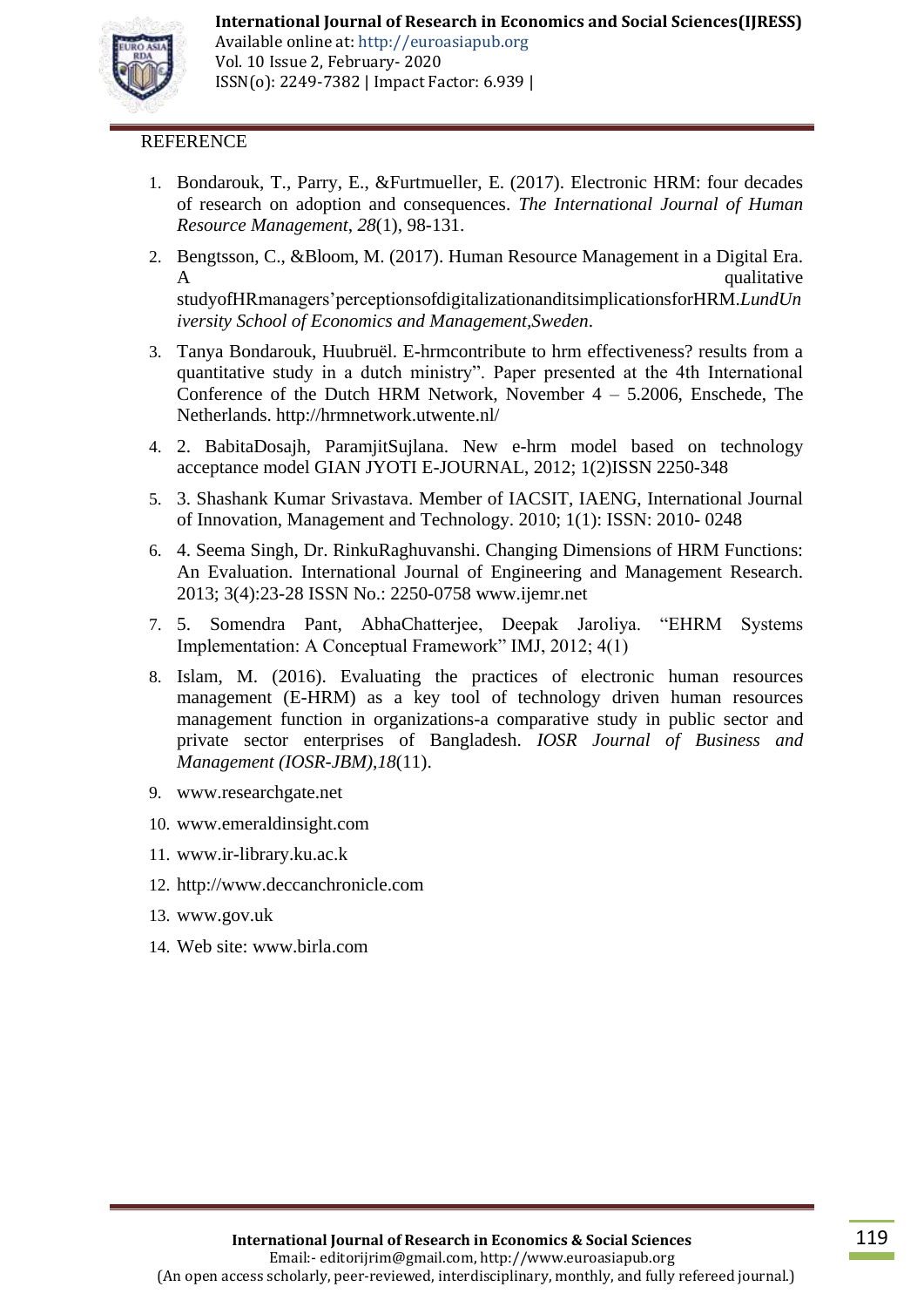

Available online at: http://euroasiapub.org Vol. 10 Issue 2, February- 2020 ISSN(o): 2249-7382 | Impact Factor: 6.939 |

#### **REFERENCE**

- 1. Bondarouk, T., Parry, E., &Furtmueller, E. (2017). Electronic HRM: four decades of research on adoption and consequences. *The International Journal of Human Resource Management*, *28*(1), 98-131.
- 2. Bengtsson, C., &Bloom, M. (2017). Human Resource Management in a Digital Era. A qualitative  $\mathbf{A}$ studyofHRmanagers"perceptionsofdigitalizationanditsimplicationsforHRM.*LundUn iversity School of Economics and Management,Sweden*.
- 3. Tanya Bondarouk, Huubruël. E-hrmcontribute to hrm effectiveness? results from a quantitative study in a dutch ministry". Paper presented at the 4th International Conference of the Dutch HRM Network, November  $4 - 5.2006$ , Enschede, The Netherlands.<http://hrmnetwork.utwente.nl/>
- 4. 2. BabitaDosajh, ParamjitSujlana. New e-hrm model based on technology acceptance model GIAN JYOTI E-JOURNAL, 2012; 1(2)ISSN 2250-348
- 5. 3. Shashank Kumar Srivastava. Member of IACSIT, IAENG, International Journal of Innovation, Management and Technology. 2010; 1(1): ISSN: 2010- 0248
- 6. 4. Seema Singh, Dr. RinkuRaghuvanshi. Changing Dimensions of HRM Functions: An Evaluation. International Journal of Engineering and Management Research. 2013; 3(4):23-28 ISSN No.: 2250-0758 [www.ijemr.net](http://www.ijemr.net/)
- 7. 5. Somendra Pant, AbhaChatterjee, Deepak Jaroliya. "EHRM Systems Implementation: A Conceptual Framework" IMJ, 2012; 4(1)
- 8. Islam, M. (2016). Evaluating the practices of electronic human resources management (E-HRM) as a key tool of technology driven human resources management function in organizations-a comparative study in public sector and private sector enterprises of Bangladesh. *IOSR Journal of Business and Management (IOSR-JBM)*,*18*(11).
- 9. [www.researchgate.net](http://www.researchgate.net/)
- 10. [www.emeraldinsight.com](http://www.emeraldinsight.com/)
- 11. [www.ir-library.ku.ac.k](http://www.ir-library.ku.ac.k/)
- 12. [http://www.deccanchronicle.com](http://www.deccanchronicle.com/)
- 13. [www.gov.uk](http://www.gov.uk/)
- 14. Web site: [www.birla.com](http://www.birla.com/)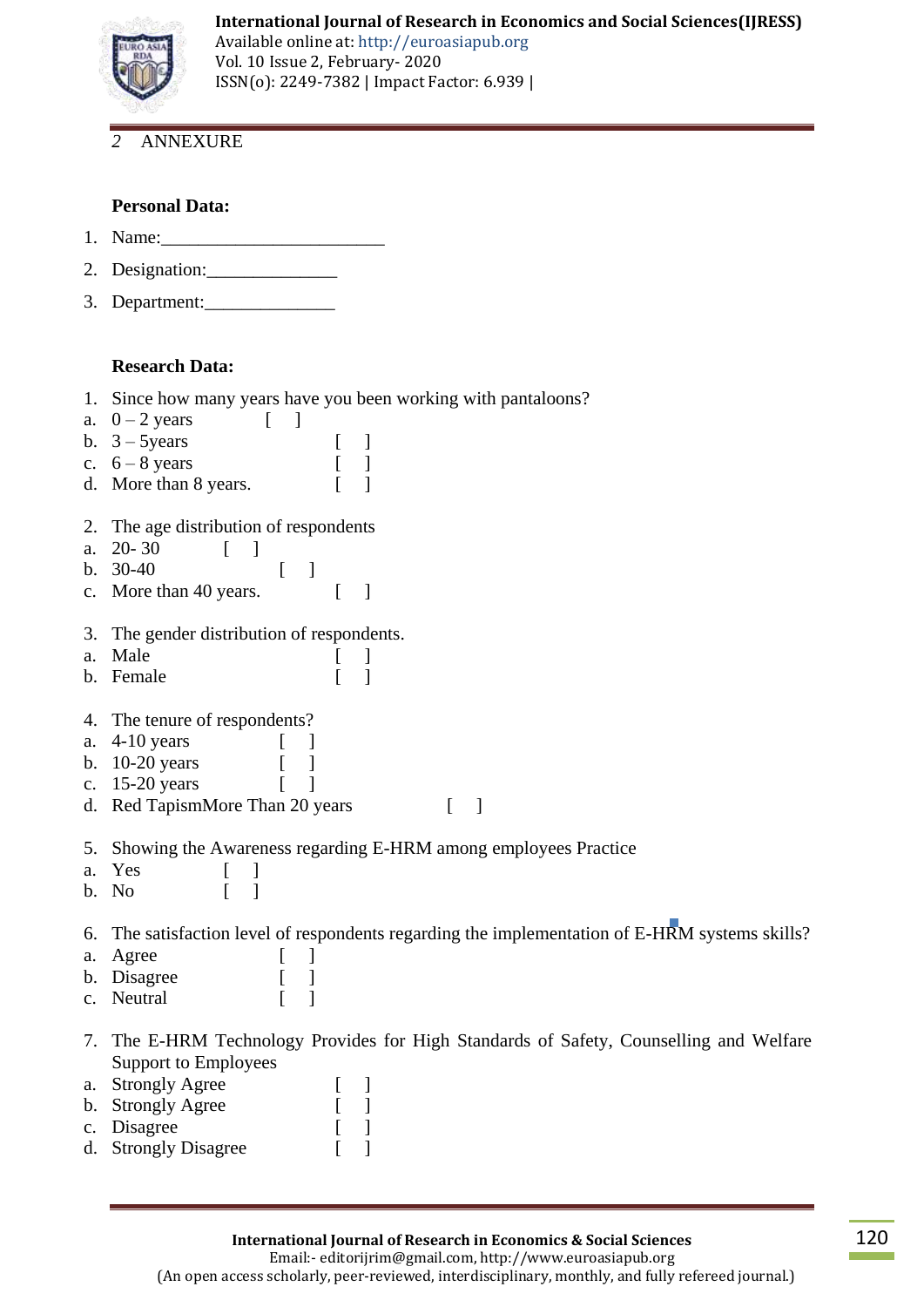

Available online at: http://euroasiapub.org Vol. 10 Issue 2, February- 2020 ISSN(o): 2249-7382 | Impact Factor: 6.939 |

# *2* ANNEXURE

#### **Personal Data:**

- 1. Name:
- 2. Designation:
- 3. Department:\_\_\_\_\_\_\_\_\_\_\_\_\_\_

#### **Research Data:**

- 1. Since how many years have you been working with pantaloons?
- a.  $0 2$  years [ ] b.  $3 - 5$ years [ ] c.  $6 - 8$  years [ ] d. More than 8 years. [ ] 2. The age distribution of respondents a.  $20-30$  [ ] b.  $30-40$  [ ] c. More than 40 years. [ ] 3. The gender distribution of respondents. a. Male [ ] b. Female [ ] 4. The tenure of respondents? a. 4-10 years [ ] b. 10-20 years [ ] c. 15-20 years [ ] d. Red TapismMore Than 20 years [ ]
- 5. Showing the Awareness regarding E-HRM among employees Practice
- a. Yes [ ]
- b. No [ ]

6. The satisfaction level of respondents regarding the implementation of E-HRM systems skills?

- a. Agree [ ]
- b. Disagree [ ]
- c. Neutral [ ]
- 7. The E-HRM Technology Provides for High Standards of Safety, Counselling and Welfare Support to Employees
- a. Strongly Agree [ ]
- b. Strongly Agree [ ]
- c. Disagree [ ] d. Strongly Disagree [ ]